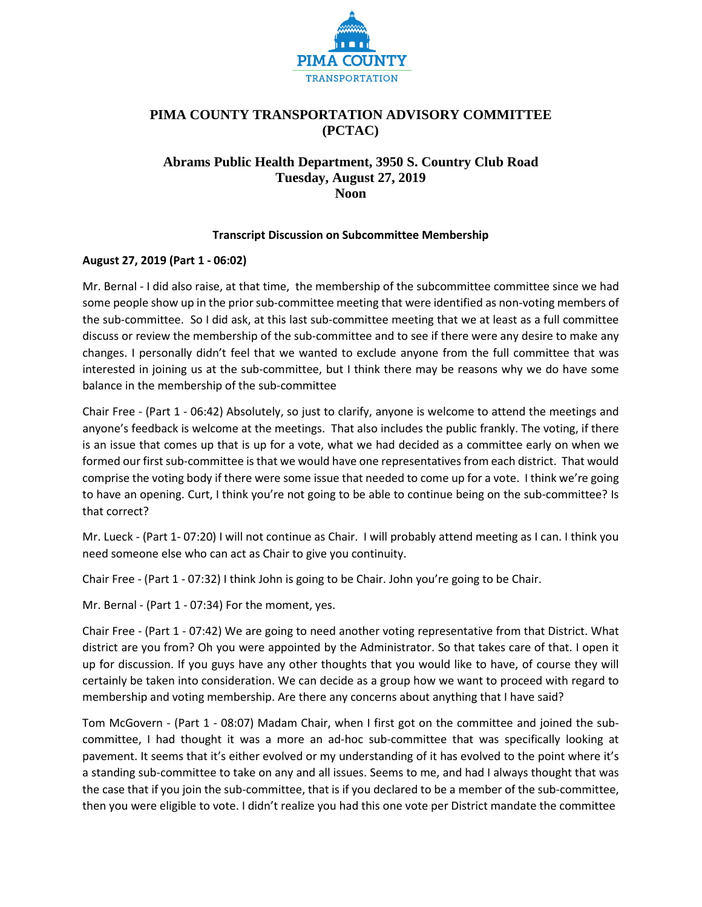

# **PIMA COUNTY TRANSPORTATION ADVISORY COMMITTEE (PCTAC)**

# **Abrams Public Health Department, 3950 S. Country Club Road Tuesday, August 27, 2019 Noon**

#### **Transcript Discussion on Subcommittee Membership**

## **August 27, 2019 (Part 1 - 06:02)**

Mr. Bernal - I did also raise, at that time, the membership of the subcommittee committee since we had some people show up in the prior sub-committee meeting that were identified as non-voting members of the sub-committee. So I did ask, at this last sub-committee meeting that we at least as a full committee discuss or review the membership of the sub-committee and to see if there were any desire to make any changes. I personally didn't feel that we wanted to exclude anyone from the full committee that was interested in joining us at the sub-committee, but I think there may be reasons why we do have some balance in the membership of the sub-committee

Chair Free - (Part 1 - 06:42) Absolutely, so just to clarify, anyone is welcome to attend the meetings and anyone's feedback is welcome at the meetings. That also includes the public frankly. The voting, if there is an issue that comes up that is up for a vote, what we had decided as a committee early on when we formed our first sub-committee is that we would have one representatives from each district. That would comprise the voting body if there were some issue that needed to come up for a vote. I think we're going to have an opening. Curt, I think you're not going to be able to continue being on the sub-committee? Is that correct?

Mr. Lueck - (Part 1- 07:20) I will not continue as Chair. I will probably attend meeting as I can. I think you need someone else who can act as Chair to give you continuity.

Chair Free - (Part 1 - 07:32) I think John is going to be Chair. John you're going to be Chair.

Mr. Bernal - (Part 1 - 07:34) For the moment, yes.

Chair Free - (Part 1 - 07:42) We are going to need another voting representative from that District. What district are you from? Oh you were appointed by the Administrator. So that takes care of that. I open it up for discussion. If you guys have any other thoughts that you would like to have, of course they will certainly be taken into consideration. We can decide as a group how we want to proceed with regard to membership and voting membership. Are there any concerns about anything that I have said?

Tom McGovern - (Part 1 - 08:07) Madam Chair, when I first got on the committee and joined the subcommittee, I had thought it was a more an ad-hoc sub-committee that was specifically looking at pavement. It seems that it's either evolved or my understanding of it has evolved to the point where it's a standing sub-committee to take on any and all issues. Seems to me, and had I always thought that was the case that if you join the sub-committee, that is if you declared to be a member of the sub-committee, then you were eligible to vote. I didn't realize you had this one vote per District mandate the committee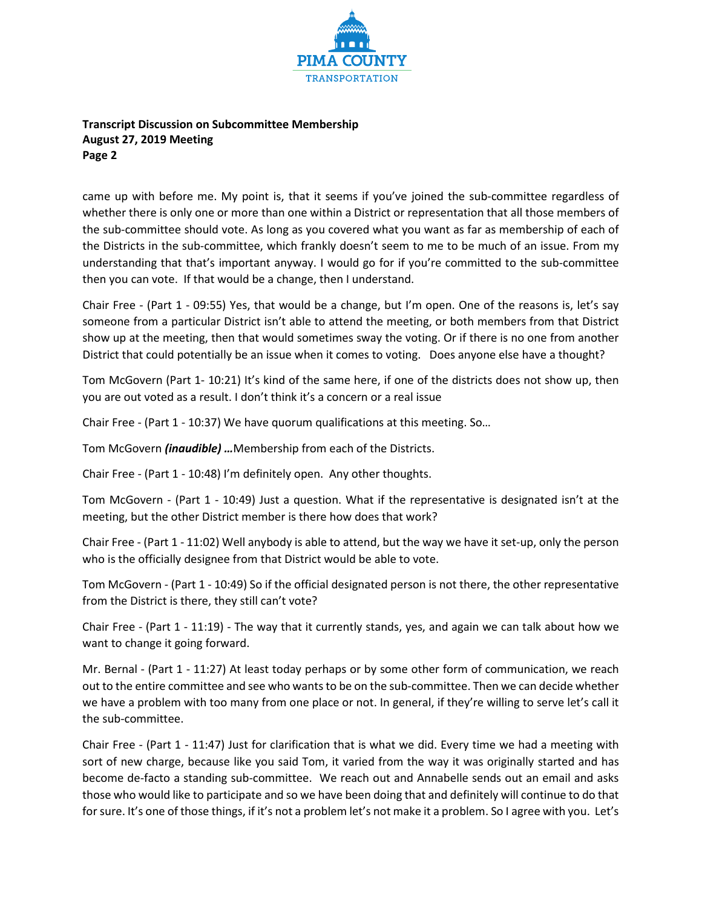

## **Transcript Discussion on Subcommittee Membership August 27, 2019 Meeting Page 2**

came up with before me. My point is, that it seems if you've joined the sub-committee regardless of whether there is only one or more than one within a District or representation that all those members of the sub-committee should vote. As long as you covered what you want as far as membership of each of the Districts in the sub-committee, which frankly doesn't seem to me to be much of an issue. From my understanding that that's important anyway. I would go for if you're committed to the sub-committee then you can vote. If that would be a change, then I understand.

Chair Free - (Part 1 - 09:55) Yes, that would be a change, but I'm open. One of the reasons is, let's say someone from a particular District isn't able to attend the meeting, or both members from that District show up at the meeting, then that would sometimes sway the voting. Or if there is no one from another District that could potentially be an issue when it comes to voting. Does anyone else have a thought?

Tom McGovern (Part 1- 10:21) It's kind of the same here, if one of the districts does not show up, then you are out voted as a result. I don't think it's a concern or a real issue

Chair Free - (Part 1 - 10:37) We have quorum qualifications at this meeting. So…

Tom McGovern *(inaudible) …*Membership from each of the Districts.

Chair Free - (Part 1 - 10:48) I'm definitely open. Any other thoughts.

Tom McGovern - (Part 1 - 10:49) Just a question. What if the representative is designated isn't at the meeting, but the other District member is there how does that work?

Chair Free - (Part 1 - 11:02) Well anybody is able to attend, but the way we have it set-up, only the person who is the officially designee from that District would be able to vote.

Tom McGovern - (Part 1 - 10:49) So if the official designated person is not there, the other representative from the District is there, they still can't vote?

Chair Free - (Part 1 - 11:19) - The way that it currently stands, yes, and again we can talk about how we want to change it going forward.

Mr. Bernal - (Part 1 - 11:27) At least today perhaps or by some other form of communication, we reach out to the entire committee and see who wants to be on the sub-committee. Then we can decide whether we have a problem with too many from one place or not. In general, if they're willing to serve let's call it the sub-committee.

Chair Free - (Part 1 - 11:47) Just for clarification that is what we did. Every time we had a meeting with sort of new charge, because like you said Tom, it varied from the way it was originally started and has become de-facto a standing sub-committee. We reach out and Annabelle sends out an email and asks those who would like to participate and so we have been doing that and definitely will continue to do that for sure. It's one of those things, if it's not a problem let's not make it a problem. So I agree with you. Let's